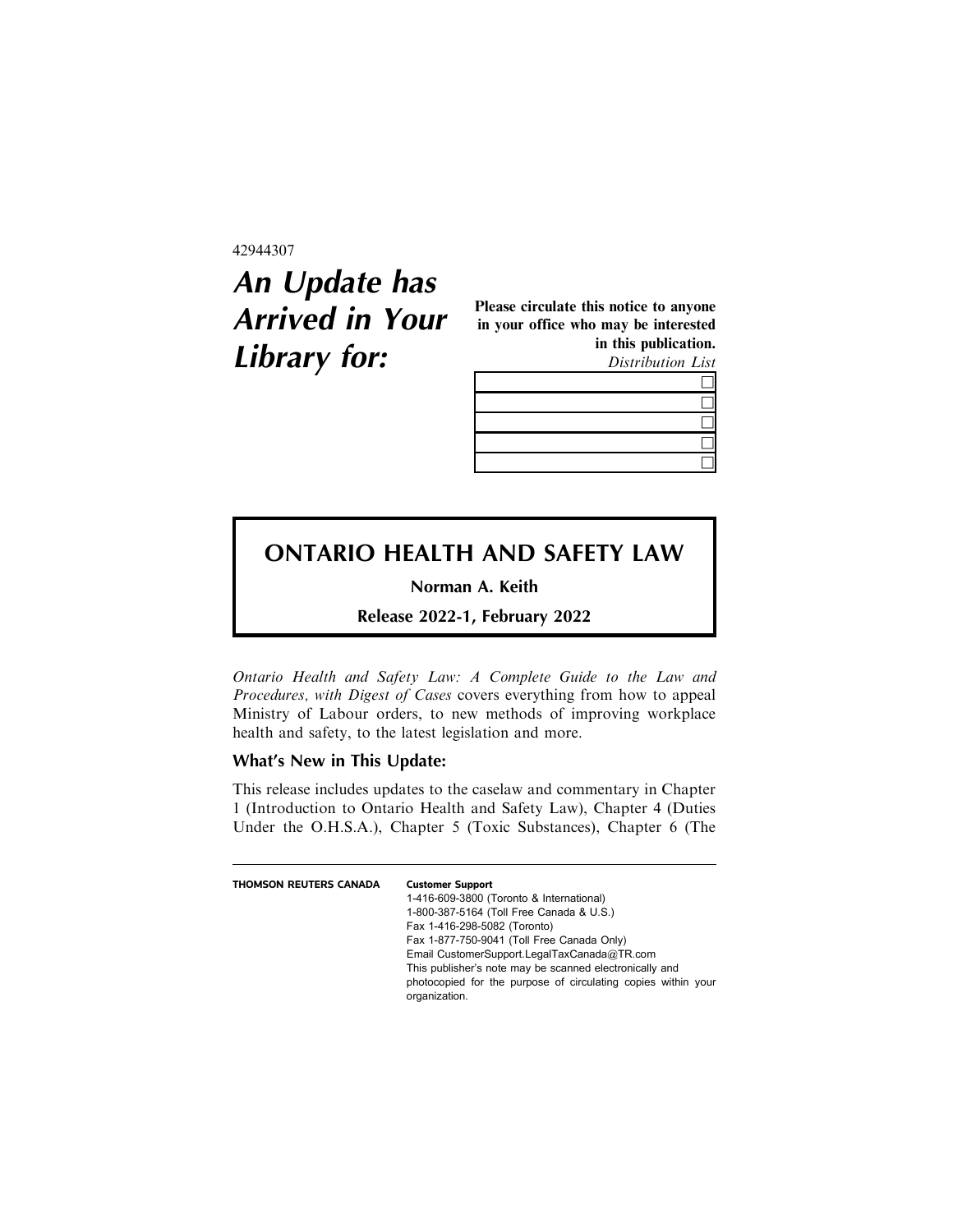42944307

# **An Update has Arrived in Your Library for:**

Please circulate this notice to anyone in your office who may be interested in this publication.

Distribution List

## **ONTARIO HEALTH AND SAFETY LAW**

**Norman A. Keith**

**Release 2022-1, February 2022**

Ontario Health and Safety Law: A Complete Guide to the Law and Procedures, with Digest of Cases covers everything from how to appeal Ministry of Labour orders, to new methods of improving workplace health and safety, to the latest legislation and more.

### **What's New in This Update:**

This release includes updates to the caselaw and commentary in Chapter 1 (Introduction to Ontario Health and Safety Law), Chapter 4 (Duties Under the O.H.S.A.), Chapter 5 (Toxic Substances), Chapter 6 (The

**THOMSON REUTERS CANADA Customer Support**

1-416-609-3800 (Toronto & International) 1-800-387-5164 (Toll Free Canada & U.S.) Fax 1-416-298-5082 (Toronto) Fax 1-877-750-9041 (Toll Free Canada Only) Email CustomerSupport.LegalTaxCanada@TR.com This publisher's note may be scanned electronically and photocopied for the purpose of circulating copies within your organization.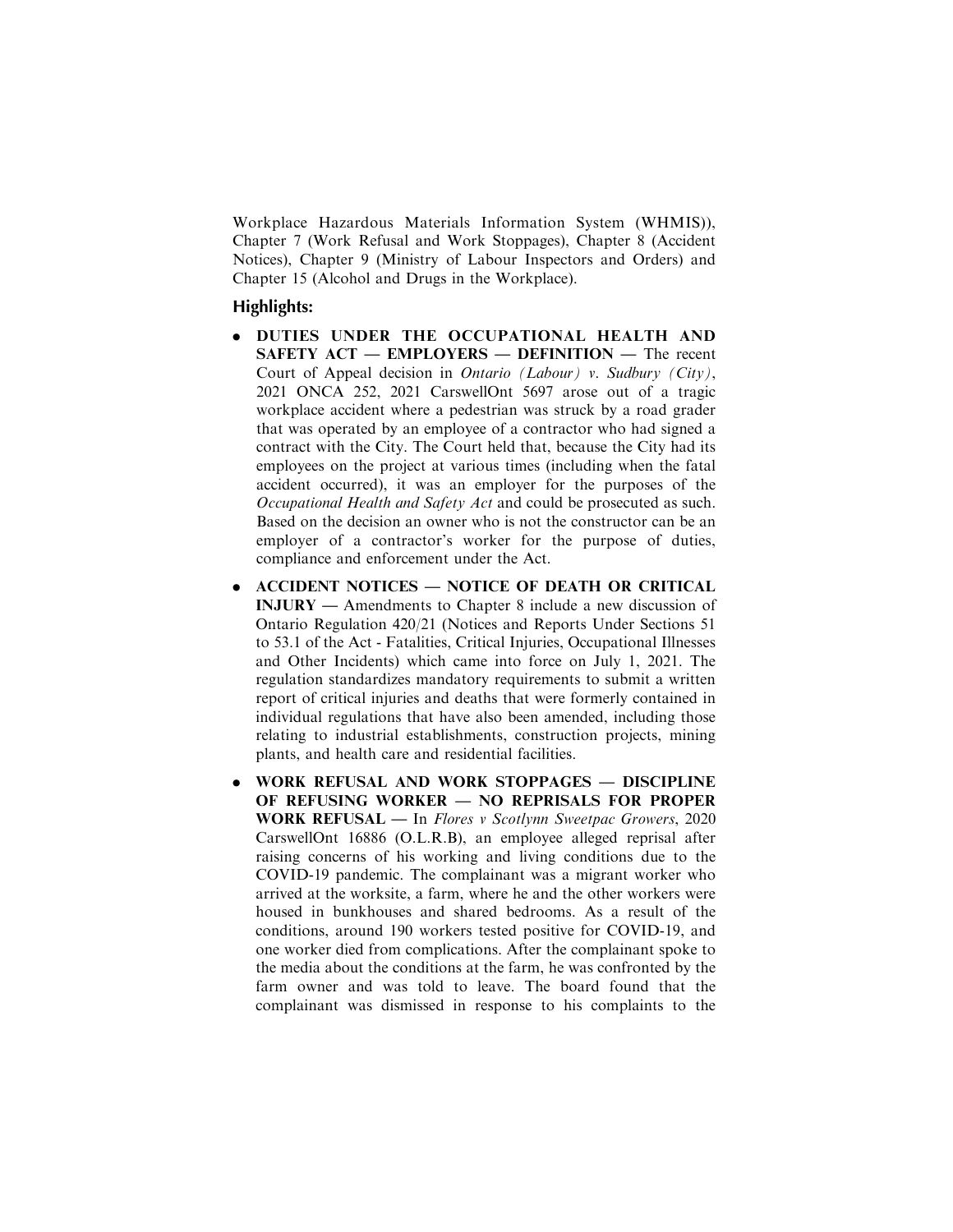Workplace Hazardous Materials Information System (WHMIS)), Chapter 7 (Work Refusal and Work Stoppages), Chapter 8 (Accident Notices), Chapter 9 (Ministry of Labour Inspectors and Orders) and Chapter 15 (Alcohol and Drugs in the Workplace).

### **Highlights:**

- . DUTIES UNDER THE OCCUPATIONAL HEALTH AND SAFETY ACT - EMPLOYERS - DEFINITION - The recent Court of Appeal decision in Ontario (Labour) v. Sudbury (City), 2021 ONCA 252, 2021 CarswellOnt 5697 arose out of a tragic workplace accident where a pedestrian was struck by a road grader that was operated by an employee of a contractor who had signed a contract with the City. The Court held that, because the City had its employees on the project at various times (including when the fatal accident occurred), it was an employer for the purposes of the Occupational Health and Safety Act and could be prosecuted as such. Based on the decision an owner who is not the constructor can be an employer of a contractor's worker for the purpose of duties, compliance and enforcement under the Act.
- . ACCIDENT NOTICES NOTICE OF DEATH OR CRITICAL INJURY — Amendments to Chapter 8 include a new discussion of Ontario Regulation 420/21 (Notices and Reports Under Sections 51 to 53.1 of the Act - Fatalities, Critical Injuries, Occupational Illnesses and Other Incidents) which came into force on July 1, 2021. The regulation standardizes mandatory requirements to submit a written report of critical injuries and deaths that were formerly contained in individual regulations that have also been amended, including those relating to industrial establishments, construction projects, mining plants, and health care and residential facilities.
- . WORK REFUSAL AND WORK STOPPAGES DISCIPLINE OF REFUSING WORKER — NO REPRISALS FOR PROPER WORK REFUSAL — In Flores v Scotlynn Sweetpac Growers, 2020 CarswellOnt 16886 (O.L.R.B), an employee alleged reprisal after raising concerns of his working and living conditions due to the COVID-19 pandemic. The complainant was a migrant worker who arrived at the worksite, a farm, where he and the other workers were housed in bunkhouses and shared bedrooms. As a result of the conditions, around 190 workers tested positive for COVID-19, and one worker died from complications. After the complainant spoke to the media about the conditions at the farm, he was confronted by the farm owner and was told to leave. The board found that the complainant was dismissed in response to his complaints to the